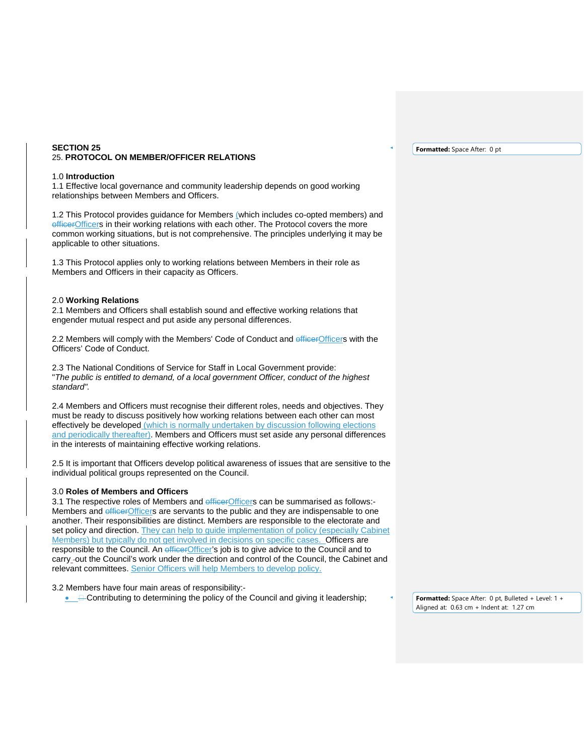## **SECTION 25**  25. **PROTOCOL ON MEMBER/OFFICER RELATIONS**

#### 1.0 **Introduction**

1.1 Effective local governance and community leadership depends on good working relationships between Members and Officers.

1.2 This Protocol provides guidance for Members (which includes co-opted members) and officerOfficers in their working relations with each other. The Protocol covers the more common working situations, but is not comprehensive. The principles underlying it may be applicable to other situations.

1.3 This Protocol applies only to working relations between Members in their role as Members and Officers in their capacity as Officers.

### 2.0 **Working Relations**

2.1 Members and Officers shall establish sound and effective working relations that engender mutual respect and put aside any personal differences.

2.2 Members will comply with the Members' Code of Conduct and efficerOfficers with the Officers' Code of Conduct.

2.3 The National Conditions of Service for Staff in Local Government provide: "*The public is entitled to demand, of a local government Officer, conduct of the highest standard".* 

2.4 Members and Officers must recognise their different roles, needs and objectives. They must be ready to discuss positively how working relations between each other can most effectively be developed (which is normally undertaken by discussion following elections and periodically thereafter). Members and Officers must set aside any personal differences in the interests of maintaining effective working relations.

2.5 It is important that Officers develop political awareness of issues that are sensitive to the individual political groups represented on the Council.

# 3.0 **Roles of Members and Officers**

3.1 The respective roles of Members and efficer Officers can be summarised as follows:-Members and officerOfficers are servants to the public and they are indispensable to one another. Their responsibilities are distinct. Members are responsible to the electorate and set policy and direction. They can help to guide implementation of policy (especially Cabinet Members) but typically do not get involved in decisions on specific cases. Officers are responsible to the Council. An efficerOfficer's job is to give advice to the Council and to carry -out the Council's work under the direction and control of the Council, the Cabinet and relevant committees. Senior Officers will help Members to develop policy.

#### 3.2 Members have four main areas of responsibility:-

• **E**-Contributing to determining the policy of the Council and giving it leadership;

**Formatted:** Space After: 0 pt

**Formatted:** Space After: 0 pt, Bulleted + Level: 1 + Aligned at: 0.63 cm + Indent at: 1.27 cm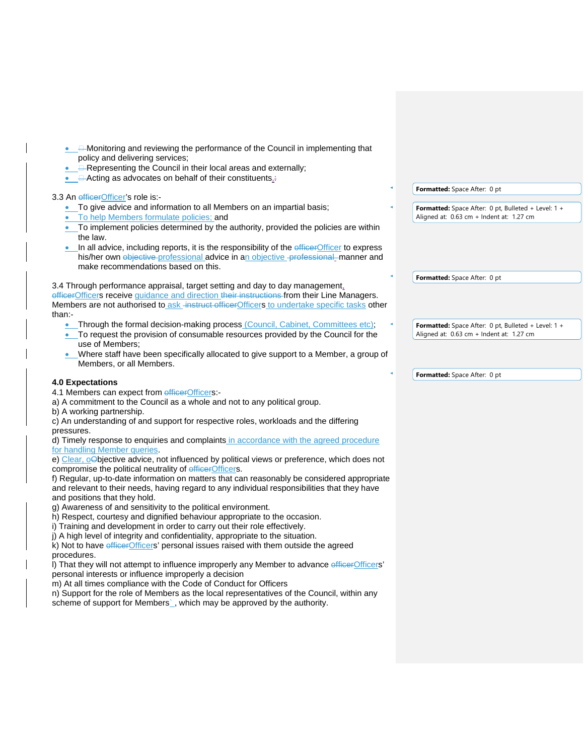- $\Box$  Monitoring and reviewing the performance of the Council in implementing that policy and delivering services;
- **E-Representing the Council in their local areas and externally;**
- **Acting as advocates on behalf of their constituents.**:

### 3.3 An efficerOfficer's role is:-

- To give advice and information to all Members on an impartial basis;
- To help Members formulate policies; and
- To implement policies determined by the authority, provided the policies are within the law.
- In all advice, including reports, it is the responsibility of the efficerOfficer to express his/her own objective professional advice in an objective professional manner and make recommendations based on this.

# 3.4 Through performance appraisal, target setting and day to day management,

officerOfficers receive guidance and direction their instructions from their Line Managers. Members are not authorised to ask instruct officerOfficers to undertake specific tasks other than:-

- Through the formal decision-making process (Council, Cabinet, Committees etc);
- To request the provision of consumable resources provided by the Council for the use of Members;
- Where staff have been specifically allocated to give support to a Member, a group of Members, or all Members.

# **4.0 Expectations**

- 4.1 Members can expect from efficerOfficers:-
- a) A commitment to the Council as a whole and not to any political group.
- b) A working partnership.

c) An understanding of and support for respective roles, workloads and the differing pressures.

d) Timely response to enquiries and complaints in accordance with the agreed procedure for handling Member queries.

e) Clear, oObjective advice, not influenced by political views or preference, which does not compromise the political neutrality of efficerOfficers.

f) Regular, up-to-date information on matters that can reasonably be considered appropriate and relevant to their needs, having regard to any individual responsibilities that they have and positions that they hold.

g) Awareness of and sensitivity to the political environment.

- h) Respect, courtesy and dignified behaviour appropriate to the occasion.
- i) Training and development in order to carry out their role effectively.
- j) A high level of integrity and confidentiality, appropriate to the situation.

k) Not to have *efficerOfficers'* personal issues raised with them outside the agreed procedures.

l) That they will not attempt to influence improperly any Member to advance efficerOfficers' personal interests or influence improperly a decision

m) At all times compliance with the Code of Conduct for Officers

n) Support for the role of Members as the local representatives of the Council, within any

scheme of support for Members`, which may be approved by the authority.

**Formatted:** Space After: 0 pt

**Formatted:** Space After: 0 pt, Bulleted + Level: 1 + Aligned at: 0.63 cm + Indent at: 1.27 cm

**Formatted:** Space After: 0 pt

**Formatted:** Space After: 0 pt, Bulleted + Level: 1 + Aligned at: 0.63 cm + Indent at: 1.27 cm

**Formatted:** Space After: 0 pt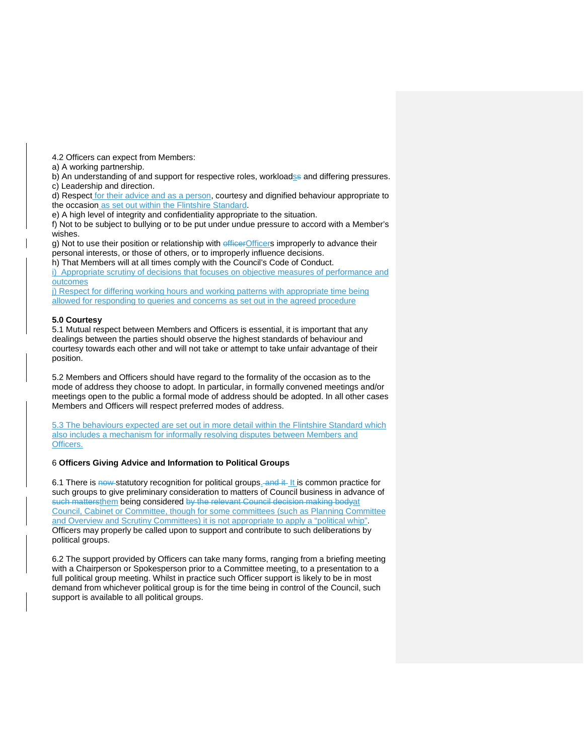4.2 Officers can expect from Members:

a) A working partnership.

b) An understanding of and support for respective roles, workloadse and differing pressures. c) Leadership and direction.

d) Respect for their advice and as a person, courtesy and dignified behaviour appropriate to the occasion as set out within the Flintshire Standard.

e) A high level of integrity and confidentiality appropriate to the situation.

f) Not to be subject to bullying or to be put under undue pressure to accord with a Member's wishes.

g) Not to use their position or relationship with efficer Officers improperly to advance their personal interests, or those of others, or to improperly influence decisions.

h) That Members will at all times comply with the Council's Code of Conduct.

i) Appropriate scrutiny of decisions that focuses on objective measures of performance and outcomes

j) Respect for differing working hours and working patterns with appropriate time being allowed for responding to queries and concerns as set out in the agreed procedure

### **5.0 Courtesy**

5.1 Mutual respect between Members and Officers is essential, it is important that any dealings between the parties should observe the highest standards of behaviour and courtesy towards each other and will not take or attempt to take unfair advantage of their position.

5.2 Members and Officers should have regard to the formality of the occasion as to the mode of address they choose to adopt. In particular, in formally convened meetings and/or meetings open to the public a formal mode of address should be adopted. In all other cases Members and Officers will respect preferred modes of address.

5.3 The behaviours expected are set out in more detail within the Flintshire Standard which also includes a mechanism for informally resolving disputes between Members and Officers.

# 6 **Officers Giving Advice and Information to Political Groups**

6.1 There is now statutory recognition for political groups. and it It is common practice for such groups to give preliminary consideration to matters of Council business in advance of such mattersthem being considered by the relevant Council decision making bodvat Council, Cabinet or Committee, though for some committees (such as Planning Committee and Overview and Scrutiny Committees) it is not appropriate to apply a "political whip". Officers may properly be called upon to support and contribute to such deliberations by political groups.

6.2 The support provided by Officers can take many forms, ranging from a briefing meeting with a Chairperson or Spokesperson prior to a Committee meeting, to a presentation to a full political group meeting. Whilst in practice such Officer support is likely to be in most demand from whichever political group is for the time being in control of the Council, such support is available to all political groups.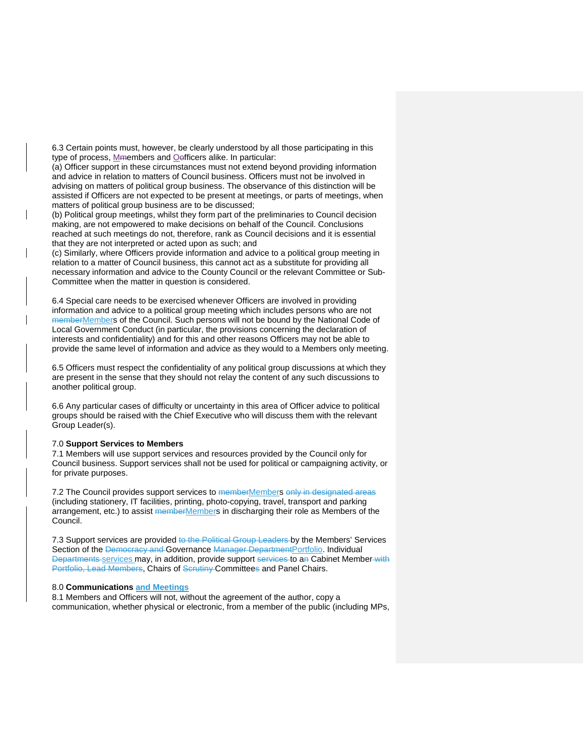6.3 Certain points must, however, be clearly understood by all those participating in this type of process, Mmembers and Oefficers alike. In particular:

(a) Officer support in these circumstances must not extend beyond providing information and advice in relation to matters of Council business. Officers must not be involved in advising on matters of political group business. The observance of this distinction will be assisted if Officers are not expected to be present at meetings, or parts of meetings, when matters of political group business are to be discussed;

(b) Political group meetings, whilst they form part of the preliminaries to Council decision making, are not empowered to make decisions on behalf of the Council. Conclusions reached at such meetings do not, therefore, rank as Council decisions and it is essential that they are not interpreted or acted upon as such; and

(c) Similarly, where Officers provide information and advice to a political group meeting in relation to a matter of Council business, this cannot act as a substitute for providing all necessary information and advice to the County Council or the relevant Committee or Sub-Committee when the matter in question is considered.

6.4 Special care needs to be exercised whenever Officers are involved in providing information and advice to a political group meeting which includes persons who are not memberMembers of the Council. Such persons will not be bound by the National Code of Local Government Conduct (in particular, the provisions concerning the declaration of interests and confidentiality) and for this and other reasons Officers may not be able to provide the same level of information and advice as they would to a Members only meeting.

6.5 Officers must respect the confidentiality of any political group discussions at which they are present in the sense that they should not relay the content of any such discussions to another political group.

6.6 Any particular cases of difficulty or uncertainty in this area of Officer advice to political groups should be raised with the Chief Executive who will discuss them with the relevant Group Leader(s).

#### 7.0 **Support Services to Members**

7.1 Members will use support services and resources provided by the Council only for Council business. Support services shall not be used for political or campaigning activity, or for private purposes.

7.2 The Council provides support services to memberMembers only in designated areas (including stationery, IT facilities, printing, photo-copying, travel, transport and parking arrangement, etc.) to assist memberMembers in discharging their role as Members of the Council.

7.3 Support services are provided to the Political Group Leaders by the Members' Services Section of the Democracy and Governance Manager DepartmentPortfolio. Individual Departments services may, in addition, provide support services to an Cabinet Member with Portfolio, Lead Members, Chairs of Scrutiny Committees and Panel Chairs.

## 8.0 **Communications and Meetings**

8.1 Members and Officers will not, without the agreement of the author, copy a communication, whether physical or electronic, from a member of the public (including MPs,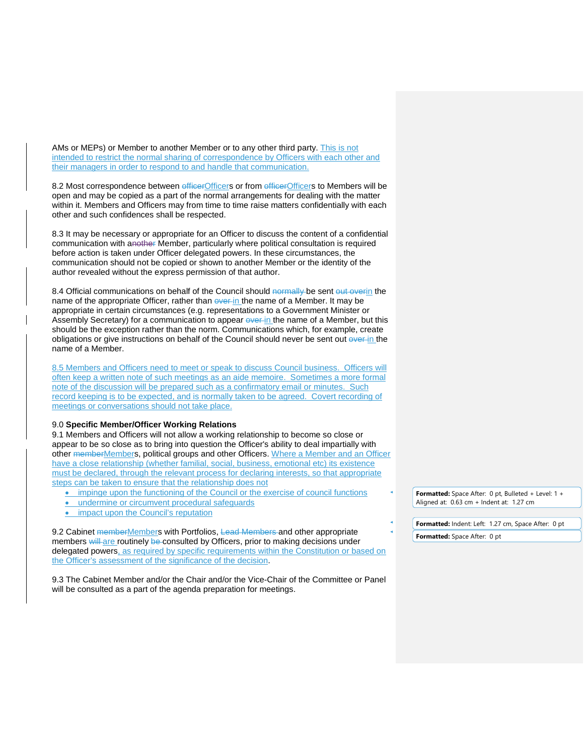AMs or MEPs) or Member to another Member or to any other third party. This is not intended to restrict the normal sharing of correspondence by Officers with each other and their managers in order to respond to and handle that communication.

8.2 Most correspondence between efficerOfficers or from efficerOfficers to Members will be open and may be copied as a part of the normal arrangements for dealing with the matter within it. Members and Officers may from time to time raise matters confidentially with each other and such confidences shall be respected.

8.3 It may be necessary or appropriate for an Officer to discuss the content of a confidential communication with another Member, particularly where political consultation is required before action is taken under Officer delegated powers. In these circumstances, the communication should not be copied or shown to another Member or the identity of the author revealed without the express permission of that author.

8.4 Official communications on behalf of the Council should normally be sent out overin the name of the appropriate Officer, rather than ever-in the name of a Member. It may be appropriate in certain circumstances (e.g. representations to a Government Minister or Assembly Secretary) for a communication to appear ever-in the name of a Member, but this should be the exception rather than the norm. Communications which, for example, create obligations or give instructions on behalf of the Council should never be sent out over in the name of a Member.

8.5 Members and Officers need to meet or speak to discuss Council business. Officers will often keep a written note of such meetings as an aide memoire. Sometimes a more formal note of the discussion will be prepared such as a confirmatory email or minutes. Such record keeping is to be expected, and is normally taken to be agreed. Covert recording of meetings or conversations should not take place.

## 9.0 **Specific Member/Officer Working Relations**

9.1 Members and Officers will not allow a working relationship to become so close or appear to be so close as to bring into question the Officer's ability to deal impartially with other memberMembers, political groups and other Officers. Where a Member and an Officer have a close relationship (whether familial, social, business, emotional etc) its existence must be declared, through the relevant process for declaring interests, so that appropriate steps can be taken to ensure that the relationship does not

- impinge upon the functioning of the Council or the exercise of council functions
- undermine or circumvent procedural safeguards
- impact upon the Council's reputation

9.2 Cabinet memberMembers with Portfolios, Lead Members and other appropriate members will are routinely be consulted by Officers, prior to making decisions under delegated powers, as required by specific requirements within the Constitution or based on the Officer's assessment of the significance of the decision.

9.3 The Cabinet Member and/or the Chair and/or the Vice-Chair of the Committee or Panel will be consulted as a part of the agenda preparation for meetings.

**Formatted:** Space After: 0 pt, Bulleted + Level: 1 + Aligned at: 0.63 cm + Indent at: 1.27 cm

Formatted: Indent: Left: 1.27 cm, Space After: 0 pt

**Formatted:** Space After: 0 pt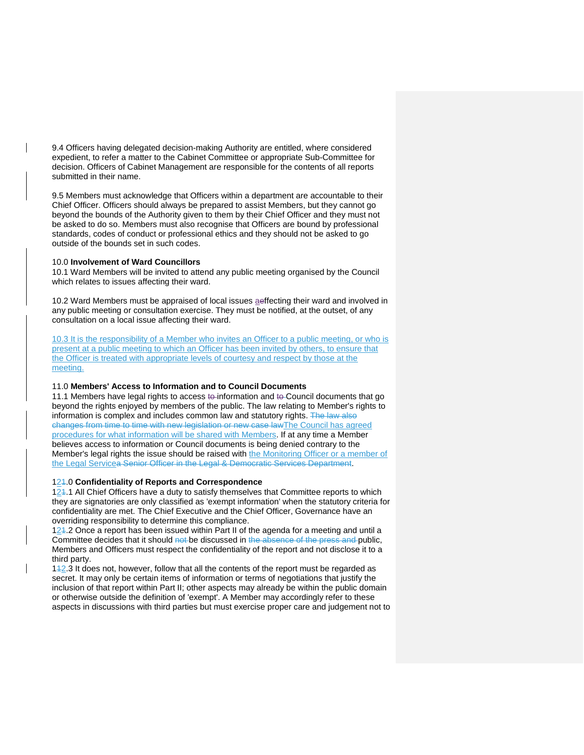9.4 Officers having delegated decision-making Authority are entitled, where considered expedient, to refer a matter to the Cabinet Committee or appropriate Sub-Committee for decision. Officers of Cabinet Management are responsible for the contents of all reports submitted in their name.

9.5 Members must acknowledge that Officers within a department are accountable to their Chief Officer. Officers should always be prepared to assist Members, but they cannot go beyond the bounds of the Authority given to them by their Chief Officer and they must not be asked to do so. Members must also recognise that Officers are bound by professional standards, codes of conduct or professional ethics and they should not be asked to go outside of the bounds set in such codes.

## 10.0 **Involvement of Ward Councillors**

10.1 Ward Members will be invited to attend any public meeting organised by the Council which relates to issues affecting their ward.

10.2 Ward Members must be appraised of local issues aeffecting their ward and involved in any public meeting or consultation exercise. They must be notified, at the outset, of any consultation on a local issue affecting their ward.

10.3 It is the responsibility of a Member who invites an Officer to a public meeting, or who is present at a public meeting to which an Officer has been invited by others, to ensure that the Officer is treated with appropriate levels of courtesy and respect by those at the meeting.

## 11.0 **Members' Access to Information and to Council Documents**

11.1 Members have legal rights to access to information and to Council documents that go beyond the rights enjoyed by members of the public. The law relating to Member's rights to information is complex and includes common law and statutory rights. The law also changes from time to time with new legislation or new case lawThe Council has agreed procedures for what information will be shared with Members. If at any time a Member believes access to information or Council documents is being denied contrary to the Member's legal rights the issue should be raised with the Monitoring Officer or a member of the Legal Servicea Senior Officer in the Legal & Democratic Services Department.

### 121.0 **Confidentiality of Reports and Correspondence**

124.1 All Chief Officers have a duty to satisfy themselves that Committee reports to which they are signatories are only classified as 'exempt information' when the statutory criteria for confidentiality are met. The Chief Executive and the Chief Officer, Governance have an overriding responsibility to determine this compliance.

124.2 Once a report has been issued within Part II of the agenda for a meeting and until a Committee decides that it should not be discussed in the absence of the press and public, Members and Officers must respect the confidentiality of the report and not disclose it to a third party.

112.3 It does not, however, follow that all the contents of the report must be regarded as secret. It may only be certain items of information or terms of negotiations that justify the inclusion of that report within Part II; other aspects may already be within the public domain or otherwise outside the definition of 'exempt'. A Member may accordingly refer to these aspects in discussions with third parties but must exercise proper care and judgement not to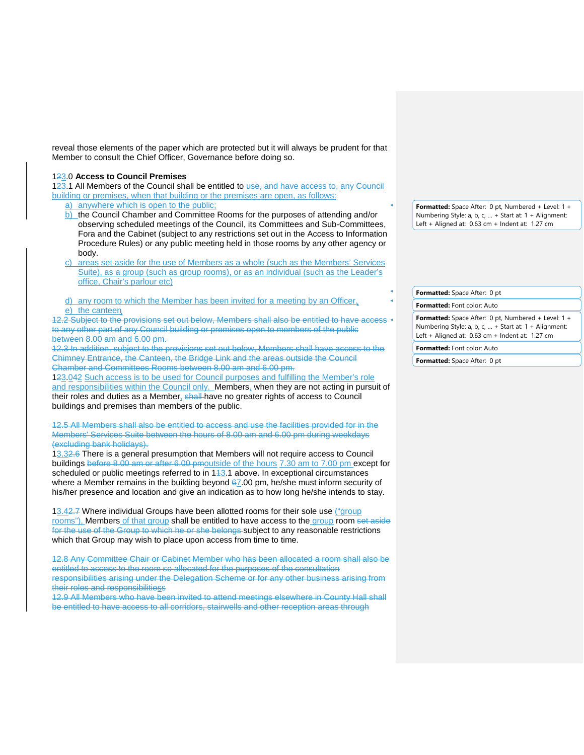reveal those elements of the paper which are protected but it will always be prudent for that Member to consult the Chief Officer, Governance before doing so.

## 123.0 **Access to Council Premises**

123.1 All Members of the Council shall be entitled to use, and have access to, any Council building or premises, when that building or the premises are open, as follows:

- a) anywhere which is open to the public;
- b) the Council Chamber and Committee Rooms for the purposes of attending and/or observing scheduled meetings of the Council, its Committees and Sub-Committees, Fora and the Cabinet (subject to any restrictions set out in the Access to Information Procedure Rules) or any public meeting held in those rooms by any other agency or body.
- c) areas set aside for the use of Members as a whole (such as the Members' Services Suite), as a group (such as group rooms), or as an individual (such as the Leader's office, Chair's parlour etc)
- d) any room to which the Member has been invited for a meeting by an Officer. e) the canteen

12.2 Subject to the provisions set out below, Members shall also be entitled to have access to any other part of any Council building or premises open to members of the public between 8.00 am and 6.00 pm.

12.3 In addition, subject to the provisions set out below, Members shall have access to the Chimney Entrance, the Canteen, the Bridge Link and the areas outside the Council Chamber and Committees Rooms between 8.00 am and 6.00 pm.

123.042 Such access is to be used for Council purposes and fulfilling the Member's role and responsibilities within the Council only. Members, when they are not acting in pursuit of their roles and duties as a Member, shall have no greater rights of access to Council buildings and premises than members of the public.

12.5 All Members shall also be entitled to access and use the facilities provided for in the Members' Services Suite between the hours of 8.00 am and 6.00 pm during weekdays (excluding bank holidays).

13.32.6 There is a general presumption that Members will not require access to Council buildings before 8.00 am or after 6.00 pmoutside of the hours 7.30 am to 7.00 pm except for scheduled or public meetings referred to in  $143.1$  above. In exceptional circumstances where a Member remains in the building beyond  $67.00$  pm, he/she must inform security of his/her presence and location and give an indication as to how long he/she intends to stay.

13.42.7 Where individual Groups have been allotted rooms for their sole use ("group rooms"), Members of that group shall be entitled to have access to the group room set aside for the use of the Group to which he or she belongs subject to any reasonable restrictions which that Group may wish to place upon access from time to time.

12.8 Any Committee Chair or Cabinet Member who has been allocated a room shall also be entitled to access to the room so allocated for the purposes of the consultation responsibilities arising under the Delegation Scheme or for any other business arising from their roles and responsibilitiess

12.9 All Members who have been invited to attend meetings elsewhere in County Hall shall be entitled to have access to all corridors, stairwells and other reception areas through

**Formatted:** Space After: 0 pt, Numbered + Level: 1 + Numbering Style: a, b, c, … + Start at: 1 + Alignment: Left + Aligned at: 0.63 cm + Indent at: 1.27 cm

**Formatted:** Space After: 0 pt

**Formatted:** Font color: Auto

**Formatted:** Space After: 0 pt, Numbered + Level: 1 + Numbering Style: a, b, c, … + Start at: 1 + Alignment: Left + Aligned at: 0.63 cm + Indent at: 1.27 cm

**Formatted:** Font color: Auto

**Formatted:** Space After: 0 pt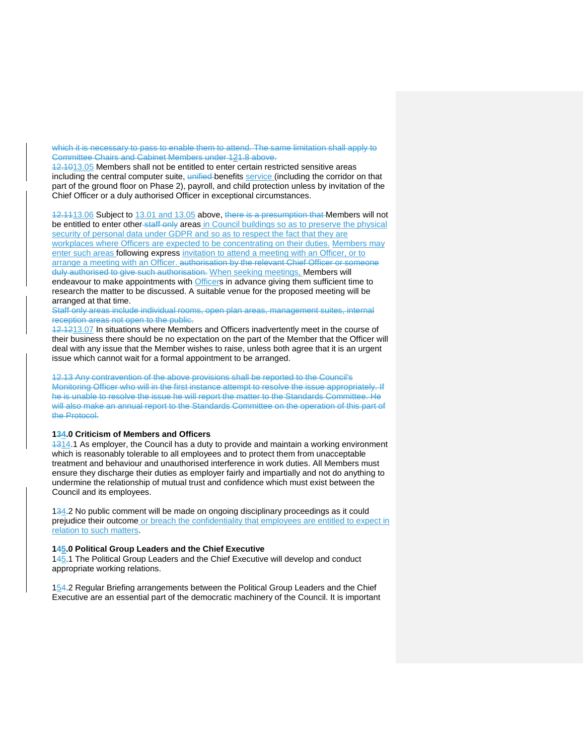which it is necessary to pass to enable them to attend. The same limitation shall apply to Committee Chairs and Cabinet Members under 121.8 above.

12.1013.05 Members shall not be entitled to enter certain restricted sensitive areas including the central computer suite, unified benefits service (including the corridor on that part of the ground floor on Phase 2), payroll, and child protection unless by invitation of the Chief Officer or a duly authorised Officer in exceptional circumstances.

12.1113.06 Subject to 13.01 and 13.05 above, there is a presumption that Members will not be entitled to enter other staff only areas in Council buildings so as to preserve the physical security of personal data under GDPR and so as to respect the fact that they are workplaces where Officers are expected to be concentrating on their duties. Members may enter such areas following express invitation to attend a meeting with an Officer, or to arrange a meeting with an Officer. authorisation by the relevant Chief Officer or someone duly authorised to give such authorisation. When seeking meetings, Members will endeavour to make appointments with Officers in advance giving them sufficient time to research the matter to be discussed. A suitable venue for the proposed meeting will be arranged at that time.

Staff only areas include individual rooms, open plan areas, management suites, internal reception areas not open to the public.

12.1213.07 In situations where Members and Officers inadvertently meet in the course of their business there should be no expectation on the part of the Member that the Officer will deal with any issue that the Member wishes to raise, unless both agree that it is an urgent issue which cannot wait for a formal appointment to be arranged.

12.13 Any contravention of the above provisions shall be reported to the Council's Monitoring Officer who will in the first instance attempt to resolve the issue appropriately. If he is unable to resolve the issue he will report the matter to the Standards Committee. He will also make an annual report to the Standards Committee on the operation of this part of the Protocol.

### **134.0 Criticism of Members and Officers**

 $1314.1$  As employer, the Council has a duty to provide and maintain a working environment which is reasonably tolerable to all employees and to protect them from unacceptable treatment and behaviour and unauthorised interference in work duties. All Members must ensure they discharge their duties as employer fairly and impartially and not do anything to undermine the relationship of mutual trust and confidence which must exist between the Council and its employees.

134.2 No public comment will be made on ongoing disciplinary proceedings as it could prejudice their outcome or breach the confidentiality that employees are entitled to expect in relation to such matters.

### **145.0 Political Group Leaders and the Chief Executive**

145.1 The Political Group Leaders and the Chief Executive will develop and conduct appropriate working relations.

154.2 Regular Briefing arrangements between the Political Group Leaders and the Chief Executive are an essential part of the democratic machinery of the Council. It is important